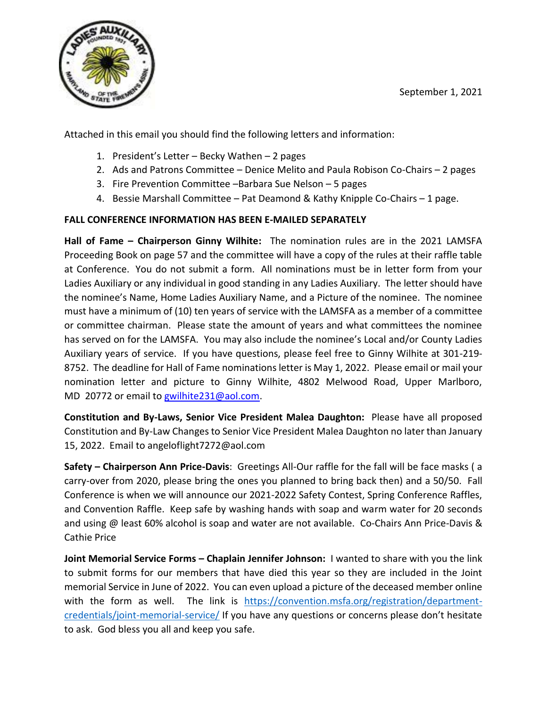September 1, 2021



Attached in this email you should find the following letters and information:

- 1. President's Letter Becky Wathen 2 pages
- 2. Ads and Patrons Committee Denice Melito and Paula Robison Co-Chairs 2 pages
- 3. Fire Prevention Committee –Barbara Sue Nelson 5 pages
- 4. Bessie Marshall Committee Pat Deamond & Kathy Knipple Co-Chairs 1 page.

# **FALL CONFERENCE INFORMATION HAS BEEN E-MAILED SEPARATELY**

**Hall of Fame – Chairperson Ginny Wilhite:** The nomination rules are in the 2021 LAMSFA Proceeding Book on page 57 and the committee will have a copy of the rules at their raffle table at Conference. You do not submit a form. All nominations must be in letter form from your Ladies Auxiliary or any individual in good standing in any Ladies Auxiliary. The letter should have the nominee's Name, Home Ladies Auxiliary Name, and a Picture of the nominee. The nominee must have a minimum of (10) ten years of service with the LAMSFA as a member of a committee or committee chairman. Please state the amount of years and what committees the nominee has served on for the LAMSFA. You may also include the nominee's Local and/or County Ladies Auxiliary years of service. If you have questions, please feel free to Ginny Wilhite at 301-219- 8752. The deadline for Hall of Fame nominations letter is May 1, 2022. Please email or mail your nomination letter and picture to Ginny Wilhite, 4802 Melwood Road, Upper Marlboro, MD 20772 or email to [gwilhite231@aol.com.](mailto:gwilhite231@aol.com)

**Constitution and By-Laws, Senior Vice President Malea Daughton:** Please have all proposed Constitution and By-Law Changes to Senior Vice President Malea Daughton no later than January 15, 2022. Email to angeloflight7272@aol.com

**Safety – Chairperson Ann Price-Davis**: Greetings All-Our raffle for the fall will be face masks ( a carry-over from 2020, please bring the ones you planned to bring back then) and a 50/50. Fall Conference is when we will announce our 2021-2022 Safety Contest, Spring Conference Raffles, and Convention Raffle. Keep safe by washing hands with soap and warm water for 20 seconds and using @ least 60% alcohol is soap and water are not available. Co-Chairs Ann Price-Davis & Cathie Price

**Joint Memorial Service Forms – Chaplain Jennifer Johnson:** I wanted to share with you the link to submit forms for our members that have died this year so they are included in the Joint memorial Service in June of 2022. You can even upload a picture of the deceased member online with the form as well. The link is [https://convention.msfa.org/registration/department](https://convention.msfa.org/registration/department-credentials/joint-memorial-service/)[credentials/joint-memorial-service/](https://convention.msfa.org/registration/department-credentials/joint-memorial-service/) If you have any questions or concerns please don't hesitate to ask. God bless you all and keep you safe.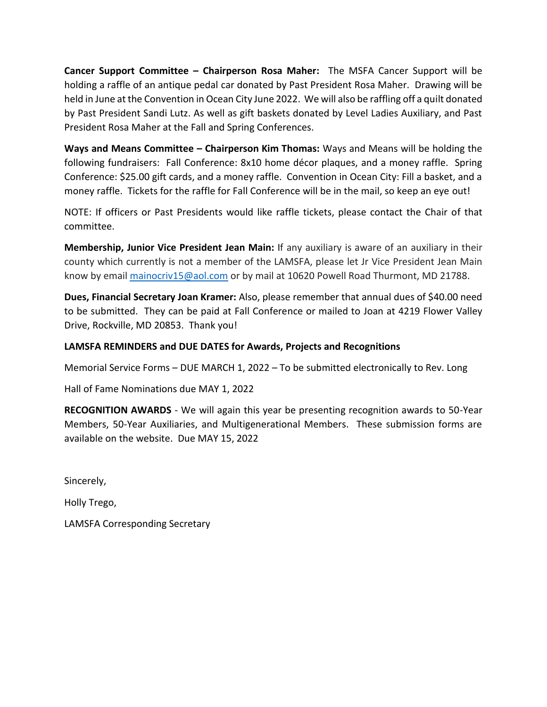**Cancer Support Committee – Chairperson Rosa Maher:** The MSFA Cancer Support will be holding a raffle of an antique pedal car donated by Past President Rosa Maher. Drawing will be held in June at the Convention in Ocean City June 2022. We will also be raffling off a quilt donated by Past President Sandi Lutz. As well as gift baskets donated by Level Ladies Auxiliary, and Past President Rosa Maher at the Fall and Spring Conferences.

**Ways and Means Committee – Chairperson Kim Thomas:** Ways and Means will be holding the following fundraisers: Fall Conference: 8x10 home décor plaques, and a money raffle. Spring Conference: \$25.00 gift cards, and a money raffle. Convention in Ocean City: Fill a basket, and a money raffle. Tickets for the raffle for Fall Conference will be in the mail, so keep an eye out!

NOTE: If officers or Past Presidents would like raffle tickets, please contact the Chair of that committee.

**Membership, Junior Vice President Jean Main:** If any auxiliary is aware of an auxiliary in their county which currently is not a member of the LAMSFA, please let Jr Vice President Jean Main know by email [mainocriv15@aol.com](mailto:mainocriv15@aol.com) or by mail at 10620 Powell Road Thurmont, MD 21788.

**Dues, Financial Secretary Joan Kramer:** Also, please remember that annual dues of \$40.00 need to be submitted. They can be paid at Fall Conference or mailed to Joan at 4219 Flower Valley Drive, Rockville, MD 20853. Thank you!

## **LAMSFA REMINDERS and DUE DATES for Awards, Projects and Recognitions**

Memorial Service Forms – DUE MARCH 1, 2022 – To be submitted electronically to Rev. Long

Hall of Fame Nominations due MAY 1, 2022

**RECOGNITION AWARDS** - We will again this year be presenting recognition awards to 50-Year Members, 50-Year Auxiliaries, and Multigenerational Members. These submission forms are available on the website. Due MAY 15, 2022

Sincerely,

Holly Trego,

LAMSFA Corresponding Secretary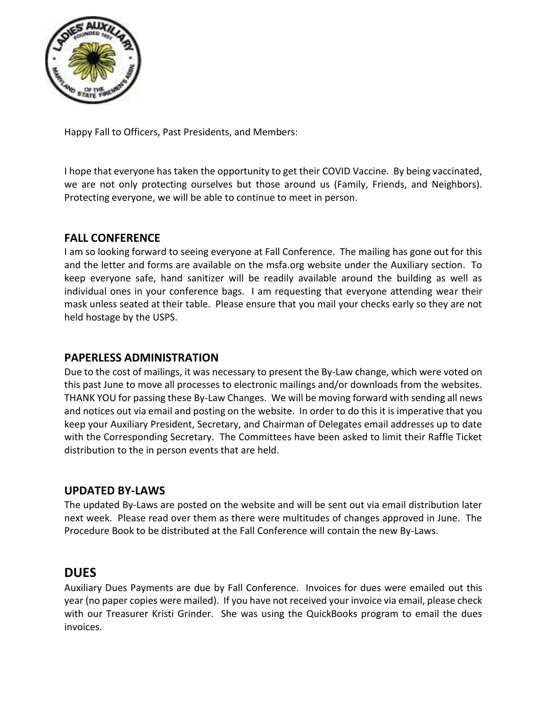

Happy Fall to Officers, Past Presidents, and Members:

I hope that everyone has taken the opportunity to get their COVID Vaccine. By being vaccinated, we are not only protecting ourselves but those around us (Family, Friends, and Neighbors). Protecting everyone, we will be able to continue to meet in person.

# **FALL CONFERENCE**

I am so looking forward to seeing everyone at Fall Conference. The mailing has gone out for this and the letter and forms are available on the msfa.org website under the Auxiliary section. To keep everyone safe, hand sanitizer will be readily available around the building as well as individual ones in your conference bags. I am requesting that everyone attending wear their mask unless seated at their table. Please ensure that you mail your checks early so they are not held hostage by the USPS.

# **PAPERLESS ADMINISTRATION**

Due to the cost of mailings, it was necessary to present the By-Law change, which were voted on this past June to move all processes to electronic mailings and/or downloads from the websites. THANK YOU for passing these By-Law Changes. We will be moving forward with sending all news and notices out via email and posting on the website. In order to do this it is imperative that you keep your Auxiliary President, Secretary, and Chairman of Delegates email addresses up to date with the Corresponding Secretary. The Committees have been asked to limit their Raffle Ticket distribution to the in person events that are held.

# **UPDATED BY-LAWS**

The updated By-Laws are posted on the website and will be sent out via email distribution later next week. Please read over them as there were multitudes of changes approved in June. The Procedure Book to be distributed at the Fall Conference will contain the new By-Laws.

# **DUES**

Auxiliary Dues Payments are due by Fall Conference. Invoices for dues were emailed out this year (no paper copies were mailed). If you have not received your invoice via email, please check with our Treasurer Kristi Grinder. She was using the QuickBooks program to email the dues invoices.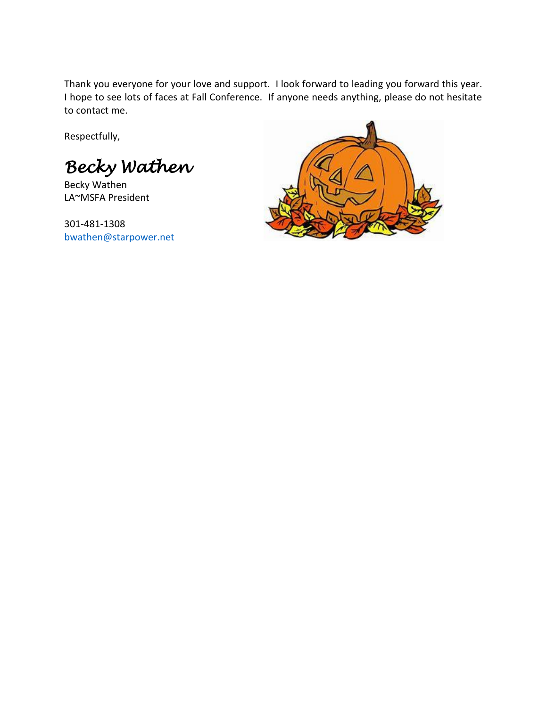Thank you everyone for your love and support. I look forward to leading you forward this year. I hope to see lots of faces at Fall Conference. If anyone needs anything, please do not hesitate to contact me.

Respectfully,

*Becky Wathen* 

Becky Wathen LA~MSFA President

301-481-1308 [bwathen@starpower.net](mailto:bwathen@starpower.net)

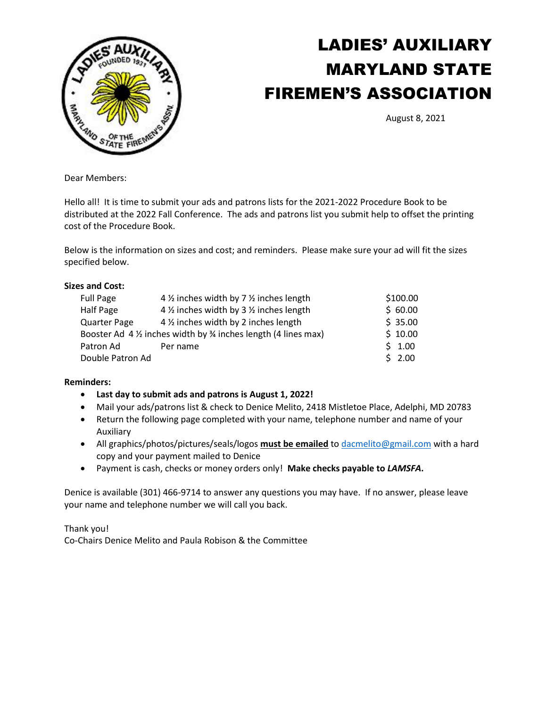

# LADIES' AUXILIARY MARYLAND STATE FIREMEN'S ASSOCIATION

August 8, 2021

Dear Members:

Hello all! It is time to submit your ads and patrons lists for the 2021-2022 Procedure Book to be distributed at the 2022 Fall Conference. The ads and patrons list you submit help to offset the printing cost of the Procedure Book.

Below is the information on sizes and cost; and reminders. Please make sure your ad will fit the sizes specified below.

#### **Sizes and Cost:**

| <b>Full Page</b>                                                                    | 4 1/2 inches width by 7 1/2 inches length | \$100.00 |
|-------------------------------------------------------------------------------------|-------------------------------------------|----------|
| Half Page                                                                           | 4 1/2 inches width by 3 1/2 inches length | \$60.00  |
| <b>Quarter Page</b>                                                                 | 4 1/2 inches width by 2 inches length     | \$35.00  |
| Booster Ad $4\frac{1}{2}$ inches width by $\frac{1}{2}$ inches length (4 lines max) | \$10.00                                   |          |
| Patron Ad                                                                           | Per name                                  | \$1.00   |
| Double Patron Ad                                                                    | \$2.00                                    |          |

#### **Reminders:**

- **Last day to submit ads and patrons is August 1, 2022!**
- Mail your ads/patrons list & check to Denice Melito, 2418 Mistletoe Place, Adelphi, MD 20783
- Return the following page completed with your name, telephone number and name of your Auxiliary
- All graphics/photos/pictures/seals/logos **must be emailed** to [dacmelito@gmail.com](mailto:dacmelito@gmail.com) with a hard copy and your payment mailed to Denice
- Payment is cash, checks or money orders only! **Make checks payable to** *LAMSFA***.**

Denice is available (301) 466-9714 to answer any questions you may have. If no answer, please leave your name and telephone number we will call you back.

Thank you! Co-Chairs Denice Melito and Paula Robison & the Committee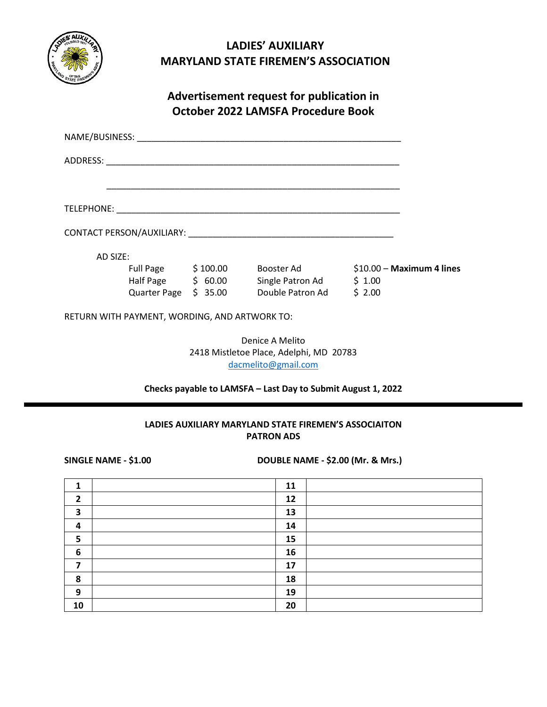

# **LADIES' AUXILIARY MARYLAND STATE FIREMEN'S ASSOCIATION**

# **Advertisement request for publication in October 2022 LAMSFA Procedure Book**

| AD SIZE: |                                               |                                |                  |        |                            |
|----------|-----------------------------------------------|--------------------------------|------------------|--------|----------------------------|
|          |                                               | Full Page $\frac{1}{2}$ 100.00 | Booster Ad       |        | $$10.00 - Maximum 4$ lines |
|          |                                               | Half Page $\lesssim$ 60.00     | Single Patron Ad | \$1.00 |                            |
|          |                                               | Quarter Page \$35.00           | Double Patron Ad | \$2.00 |                            |
|          | RETURN WITH PAYMENT, WORDING, AND ARTWORK TO: |                                |                  |        |                            |
|          |                                               |                                | Denice A Melito  |        |                            |

2418 Mistletoe Place, Adelphi, MD 20783 [dacmelito@gmail.com](mailto:dacmelito@gmail.com)

# **Checks payable to LAMSFA – Last Day to Submit August 1, 2022**

## **LADIES AUXILIARY MARYLAND STATE FIREMEN'S ASSOCIAITON PATRON ADS**

**SINGLE NAME - \$1.00 DOUBLE NAME - \$2.00 (Mr. & Mrs.)**

|                  | 11 |
|------------------|----|
| 2                | 12 |
| 3                | 13 |
| 4                | 14 |
| 5                | 15 |
| $\boldsymbol{6}$ | 16 |
| ┓                | 17 |
| 8                | 18 |
| 9                | 19 |
| 10               | 20 |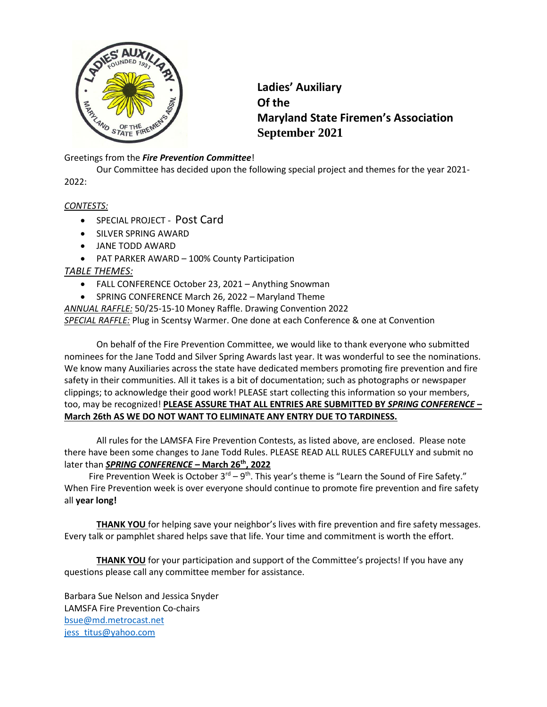

**Ladies' Auxiliary Of the Maryland State Firemen's Association September 2021**

## Greetings from the *Fire Prevention Committee*!

Our Committee has decided upon the following special project and themes for the year 2021- 2022:

#### *CONTESTS:*

- SPECIAL PROJECT Post Card
- SILVER SPRING AWARD
- JANE TODD AWARD
- PAT PARKER AWARD 100% County Participation

#### *TABLE THEMES:*

- FALL CONFERENCE October 23, 2021 Anything Snowman
- SPRING CONFERENCE March 26, 2022 Maryland Theme

*ANNUAL RAFFLE:* 50/25-15-10 Money Raffle. Drawing Convention 2022 *SPECIAL RAFFLE:* Plug in Scentsy Warmer. One done at each Conference & one at Convention

On behalf of the Fire Prevention Committee, we would like to thank everyone who submitted nominees for the Jane Todd and Silver Spring Awards last year. It was wonderful to see the nominations. We know many Auxiliaries across the state have dedicated members promoting fire prevention and fire safety in their communities. All it takes is a bit of documentation; such as photographs or newspaper clippings; to acknowledge their good work! PLEASE start collecting this information so your members, too, may be recognized! **PLEASE ASSURE THAT ALL ENTRIES ARE SUBMITTED BY** *SPRING CONFERENCE* **– March 26th AS WE DO NOT WANT TO ELIMINATE ANY ENTRY DUE TO TARDINESS.**

All rules for the LAMSFA Fire Prevention Contests, as listed above, are enclosed. Please note there have been some changes to Jane Todd Rules. PLEASE READ ALL RULES CAREFULLY and submit no later than *SPRING CONFERENCE* **– March 26th, 2022**

Fire Prevention Week is October  $3^{rd}-9^{th}$ . This year's theme is "Learn the Sound of Fire Safety." When Fire Prevention week is over everyone should continue to promote fire prevention and fire safety all **year long!**

**THANK YOU** for helping save your neighbor's lives with fire prevention and fire safety messages. Every talk or pamphlet shared helps save that life. Your time and commitment is worth the effort.

**THANK YOU** for your participation and support of the Committee's projects! If you have any questions please call any committee member for assistance.

Barbara Sue Nelson and Jessica Snyder LAMSFA Fire Prevention Co-chairs [bsue@md.metrocast.net](mailto:bsue@md.metrocast.net) [jess\\_titus@yahoo.com](mailto:jess_titus@yahoo.com)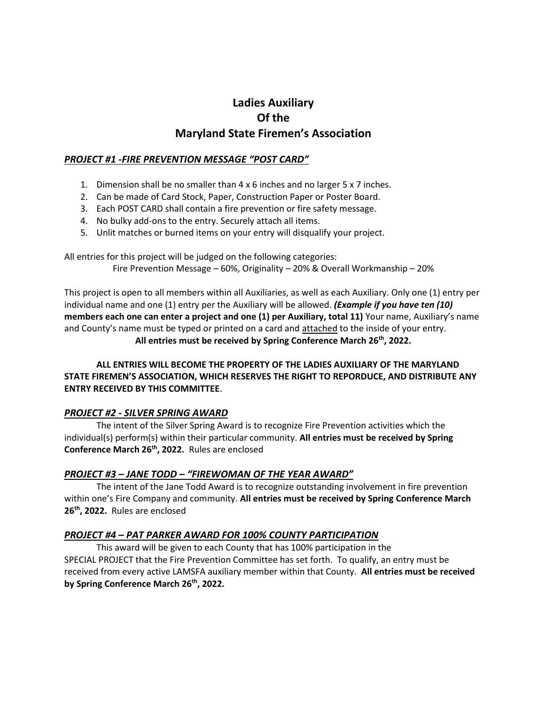# **Ladies Auxiliary Of the Maryland State Firemen's Association**

## *PROJECT #1 -FIRE PREVENTION MESSAGE "POST CARD"*

- 1. Dimension shall be no smaller than 4 x 6 inches and no larger 5 x 7 inches.
- 2. Can be made of Card Stock, Paper, Construction Paper or Poster Board.
- 3. Each POST CARD shall contain a fire prevention or fire safety message.
- 4. No bulky add-ons to the entry. Securely attach all items.
- 5. Unlit matches or burned items on your entry will disqualify your project.

All entries for this project will be judged on the following categories:

Fire Prevention Message – 60%, Originality – 20% & Overall Workmanship – 20%

This project is open to all members within all Auxiliaries, as well as each Auxiliary. Only one (1) entry per individual name and one (1) entry per the Auxiliary will be allowed. *(Example if you have ten (10)* **members each one can enter a project and one (1) per Auxiliary, total 11)** Your name, Auxiliary's name and County's name must be typed or printed on a card and attached to the inside of your entry. **All entries must be received by Spring Conference March 26th, 2022.**

## **ALL ENTRIES WILL BECOME THE PROPERTY OF THE LADIES AUXILIARY OF THE MARYLAND STATE FIREMEN'S ASSOCIATION, WHICH RESERVES THE RIGHT TO REPORDUCE, AND DISTRIBUTE ANY ENTRY RECEIVED BY THIS COMMITTEE**.

## *PROJECT #2 - SILVER SPRING AWARD*

The intent of the Silver Spring Award is to recognize Fire Prevention activities which the individual(s) perform(s) within their particular community. **All entries must be received by Spring Conference March 26th, 2022.** Rules are enclosed

## *PROJECT #3 – JANE TODD – "FIREWOMAN OF THE YEAR AWARD"*

The intent of the Jane Todd Award is to recognize outstanding involvement in fire prevention within one's Fire Company and community. **All entries must be received by Spring Conference March 26th , 2022.** Rules are enclosed

## *PROJECT #4 – PAT PARKER AWARD FOR 100% COUNTY PARTICIPATION*

This award will be given to each County that has 100% participation in the SPECIAL PROJECT that the Fire Prevention Committee has set forth. To qualify, an entry must be received from every active LAMSFA auxiliary member within that County. **All entries must be received by Spring Conference March 26th, 2022.**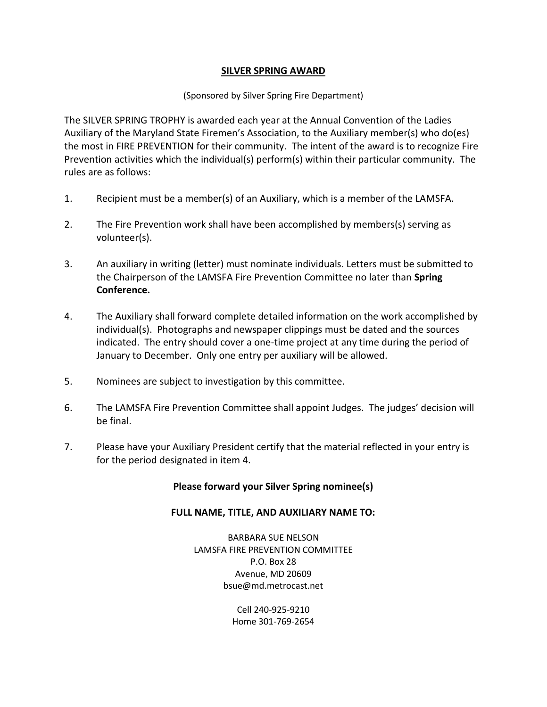## **SILVER SPRING AWARD**

## (Sponsored by Silver Spring Fire Department)

The SILVER SPRING TROPHY is awarded each year at the Annual Convention of the Ladies Auxiliary of the Maryland State Firemen's Association, to the Auxiliary member(s) who do(es) the most in FIRE PREVENTION for their community. The intent of the award is to recognize Fire Prevention activities which the individual(s) perform(s) within their particular community. The rules are as follows:

- 1. Recipient must be a member(s) of an Auxiliary, which is a member of the LAMSFA.
- 2. The Fire Prevention work shall have been accomplished by members(s) serving as volunteer(s).
- 3. An auxiliary in writing (letter) must nominate individuals. Letters must be submitted to the Chairperson of the LAMSFA Fire Prevention Committee no later than **Spring Conference.**
- 4. The Auxiliary shall forward complete detailed information on the work accomplished by individual(s). Photographs and newspaper clippings must be dated and the sources indicated. The entry should cover a one-time project at any time during the period of January to December. Only one entry per auxiliary will be allowed.
- 5. Nominees are subject to investigation by this committee.
- 6. The LAMSFA Fire Prevention Committee shall appoint Judges. The judges' decision will be final.
- 7. Please have your Auxiliary President certify that the material reflected in your entry is for the period designated in item 4.

## **Please forward your Silver Spring nominee(s)**

## **FULL NAME, TITLE, AND AUXILIARY NAME TO:**

BARBARA SUE NELSON LAMSFA FIRE PREVENTION COMMITTEE P.O. Box 28 Avenue, MD 20609 bsue@md.metrocast.net

> Cell 240-925-9210 Home 301-769-2654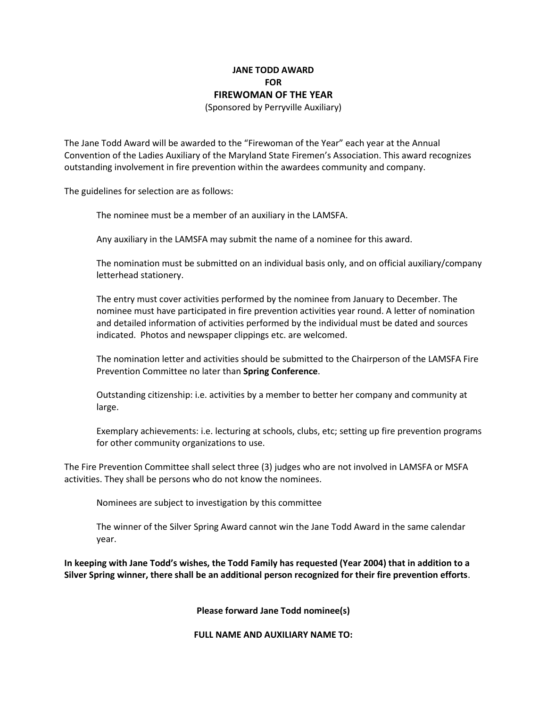# **JANE TODD AWARD FOR FIREWOMAN OF THE YEAR**

(Sponsored by Perryville Auxiliary)

The Jane Todd Award will be awarded to the "Firewoman of the Year" each year at the Annual Convention of the Ladies Auxiliary of the Maryland State Firemen's Association. This award recognizes outstanding involvement in fire prevention within the awardees community and company.

The guidelines for selection are as follows:

The nominee must be a member of an auxiliary in the LAMSFA.

Any auxiliary in the LAMSFA may submit the name of a nominee for this award.

The nomination must be submitted on an individual basis only, and on official auxiliary/company letterhead stationery.

The entry must cover activities performed by the nominee from January to December. The nominee must have participated in fire prevention activities year round. A letter of nomination and detailed information of activities performed by the individual must be dated and sources indicated. Photos and newspaper clippings etc. are welcomed.

The nomination letter and activities should be submitted to the Chairperson of the LAMSFA Fire Prevention Committee no later than **Spring Conference**.

Outstanding citizenship: i.e. activities by a member to better her company and community at large.

Exemplary achievements: i.e. lecturing at schools, clubs, etc; setting up fire prevention programs for other community organizations to use.

The Fire Prevention Committee shall select three (3) judges who are not involved in LAMSFA or MSFA activities. They shall be persons who do not know the nominees.

Nominees are subject to investigation by this committee

The winner of the Silver Spring Award cannot win the Jane Todd Award in the same calendar year.

**In keeping with Jane Todd's wishes, the Todd Family has requested (Year 2004) that in addition to a Silver Spring winner, there shall be an additional person recognized for their fire prevention efforts**.

**Please forward Jane Todd nominee(s)**

**FULL NAME AND AUXILIARY NAME TO:**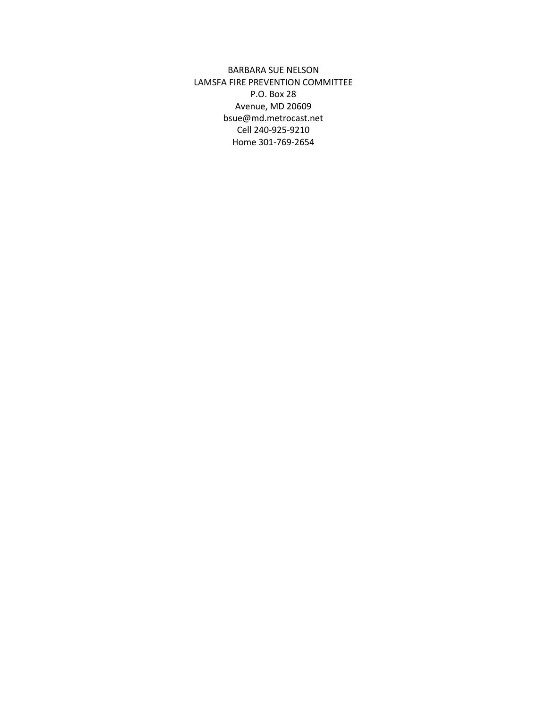BARBARA SUE NELSON LAMSFA FIRE PREVENTION COMMITTEE P.O. Box 28 Avenue, MD 20609 bsue@md.metrocast.net Cell 240-925-9210 Home 301-769-2654